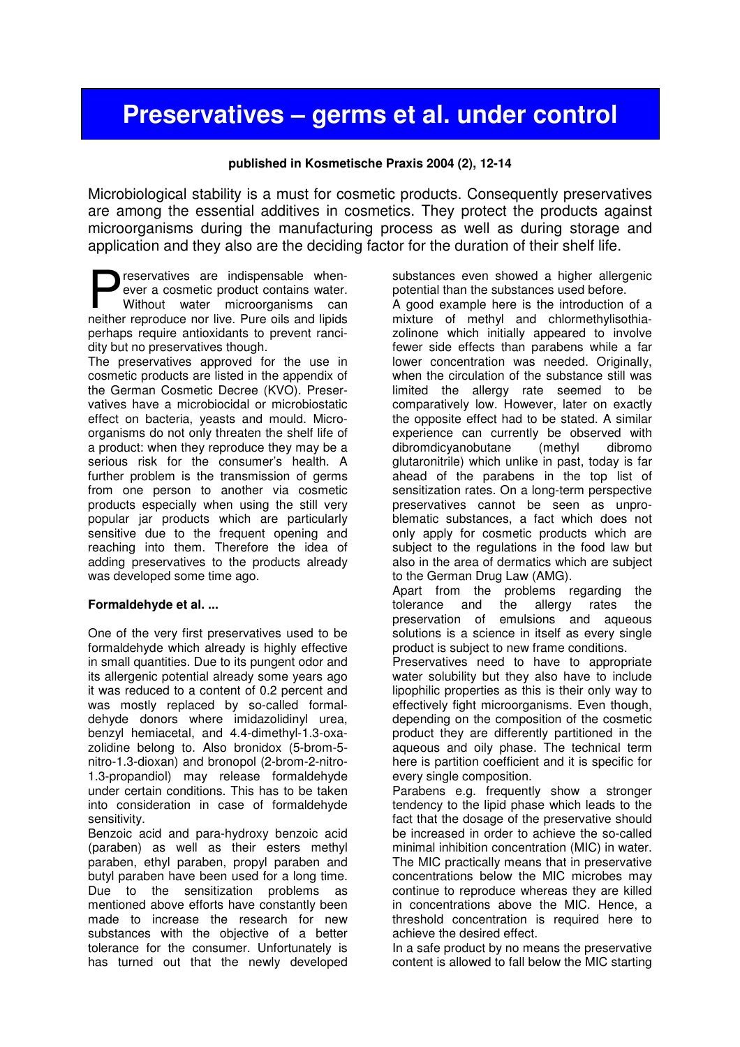# Preservatives – germs et al. under control

## published in Kosmetische Praxis 2004 (2), 12-14

Microbiological stability is a must for cosmetic products. Consequently preservatives are among the essential additives in cosmetics. They protect the products against microorganisms during the manufacturing process as well as during storage and application and they also are the deciding factor for the duration of their shelf life.

reservatives are indispensable whenever a cosmetic product contains water. Without water microorganisms can **nexervatives** are indispensable when-<br>ever a cosmetic product contains water.<br>Without water microorganisms can<br>neither reproduce nor live. Pure oils and lipids perhaps require antioxidants to prevent rancidity but no preservatives though.

The preservatives approved for the use in cosmetic products are listed in the appendix of the German Cosmetic Decree (KVO). Preservatives have a microbiocidal or microbiostatic effect on bacteria, yeasts and mould. Microorganisms do not only threaten the shelf life of a product: when they reproduce they may be a serious risk for the consumer's health. A further problem is the transmission of germs from one person to another via cosmetic products especially when using the still very popular jar products which are particularly sensitive due to the frequent opening and reaching into them. Therefore the idea of adding preservatives to the products already was developed some time ago.

## **Formaldehyde et al. ...**

One of the very first preservatives used to be formaldehyde which already is highly effective in small quantities. Due to its pungent odor and its allergenic potential already some years ago it was reduced to a content of 0.2 percent and was mostly replaced by so-called formaldehyde donors where imidazolidinyl urea, benzyl hemiacetal, and 4.4-dimethyl-1.3-oxazolidine belong to. Also bronidox (5-brom-5 nitro-1.3-dioxan) and bronopol (2-brom-2-nitro-1.3-propandiol) may release formaldehyde under certain conditions. This has to be taken into consideration in case of formaldehyde sensitivity.

Benzoic acid and para-hydroxy benzoic acid (paraben) as well as their esters methyl paraben, ethyl paraben, propyl paraben and butyl paraben have been used for a long time. Due to the sensitization problems as mentioned above efforts have constantly been made to increase the research for new substances with the objective of a better tolerance for the consumer. Unfortunately is has turned out that the newly developed substances even showed a higher allergenic potential than the substances used before.

A good example here is the introduction of a mixture of methyl and chlormethylisothiazolinone which initially appeared to involve fewer side effects than parabens while a far lower concentration was needed. Originally, when the circulation of the substance still was limited the allergy rate seemed to be comparatively low. However, later on exactly the opposite effect had to be stated. A similar experience can currently be observed with<br>dibromdicvanobutane (methyl dibromo dibromdicyanobutane (methyl glutaronitrile) which unlike in past, today is far ahead of the parabens in the top list of sensitization rates. On a long-term perspective preservatives cannot be seen as unproblematic substances, a fact which does not only apply for cosmetic products which are subject to the regulations in the food law but also in the area of dermatics which are subject to the German Drug Law (AMG).

Apart from the problems regarding the tolerance and the allergy rates the preservation of emulsions and aqueous solutions is a science in itself as every single product is subject to new frame conditions.

Preservatives need to have to appropriate water solubility but they also have to include lipophilic properties as this is their only way to effectively fight microorganisms. Even though, depending on the composition of the cosmetic product they are differently partitioned in the aqueous and oily phase. The technical term here is partition coefficient and it is specific for every single composition.

Parabens e.g. frequently show a stronger tendency to the lipid phase which leads to the fact that the dosage of the preservative should be increased in order to achieve the so-called minimal inhibition concentration (MIC) in water. The MIC practically means that in preservative concentrations below the MIC microbes may continue to reproduce whereas they are killed in concentrations above the MIC. Hence, a threshold concentration is required here to achieve the desired effect.

In a safe product by no means the preservative content is allowed to fall below the MIC starting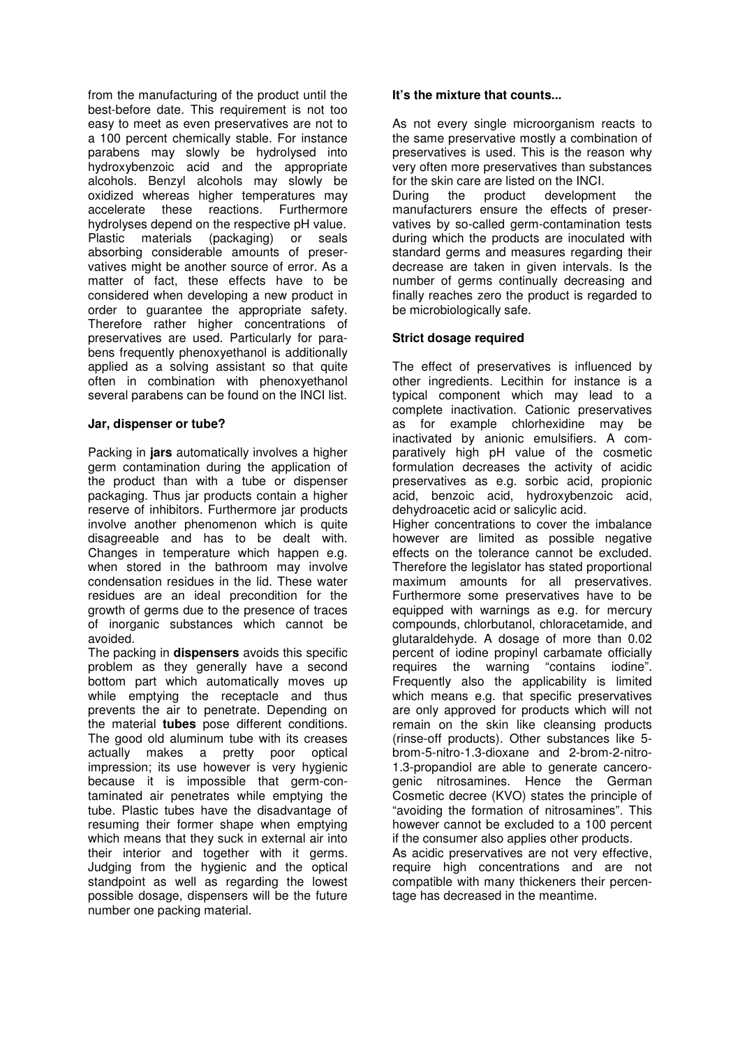from the manufacturing of the product until the best-before date. This requirement is not too easy to meet as even preservatives are not to a 100 percent chemically stable. For instance parabens may slowly be hydrolysed into hydroxybenzoic acid and the appropriate alcohols. Benzyl alcohols may slowly be oxidized whereas higher temperatures may accelerate these reactions. Furthermore hydrolyses depend on the respective pH value. Plastic materials (packaging) or seals absorbing considerable amounts of preservatives might be another source of error. As a matter of fact, these effects have to be considered when developing a new product in order to guarantee the appropriate safety. Therefore rather higher concentrations of preservatives are used. Particularly for parabens frequently phenoxyethanol is additionally applied as a solving assistant so that quite often in combination with phenoxyethanol several parabens can be found on the INCI list.

### **Jar, dispenser or tube?**

Packing in **jars** automatically involves a higher germ contamination during the application of the product than with a tube or dispenser packaging. Thus jar products contain a higher reserve of inhibitors. Furthermore jar products involve another phenomenon which is quite disagreeable and has to be dealt with. Changes in temperature which happen e.g. when stored in the bathroom may involve condensation residues in the lid. These water residues are an ideal precondition for the growth of germs due to the presence of traces of inorganic substances which cannot be avoided.

The packing in **dispensers** avoids this specific problem as they generally have a second bottom part which automatically moves up while emptying the receptacle and thus prevents the air to penetrate. Depending on the material **tubes** pose different conditions. The good old aluminum tube with its creases actually makes a pretty poor optical impression; its use however is very hygienic because it is impossible that germ-contaminated air penetrates while emptying the tube. Plastic tubes have the disadvantage of resuming their former shape when emptying which means that they suck in external air into their interior and together with it germs. Judging from the hygienic and the optical standpoint as well as regarding the lowest possible dosage, dispensers will be the future number one packing material.

### **It's the mixture that counts...**

As not every single microorganism reacts to the same preservative mostly a combination of preservatives is used. This is the reason why very often more preservatives than substances for the skin care are listed on the INCI.

During the product development manufacturers ensure the effects of preservatives by so-called germ-contamination tests during which the products are inoculated with standard germs and measures regarding their decrease are taken in given intervals. Is the number of germs continually decreasing and finally reaches zero the product is regarded to be microbiologically safe.

## **Strict dosage required**

The effect of preservatives is influenced by other ingredients. Lecithin for instance is a typical component which may lead to a complete inactivation. Cationic preservatives as for example chlorhexidine may be inactivated by anionic emulsifiers. A comparatively high pH value of the cosmetic formulation decreases the activity of acidic preservatives as e.g. sorbic acid, propionic acid, benzoic acid, hydroxybenzoic acid, dehydroacetic acid or salicylic acid.

Higher concentrations to cover the imbalance however are limited as possible negative effects on the tolerance cannot be excluded. Therefore the legislator has stated proportional maximum amounts for all preservatives. Furthermore some preservatives have to be equipped with warnings as e.g. for mercury compounds, chlorbutanol, chloracetamide, and glutaraldehyde. A dosage of more than 0.02 percent of iodine propinyl carbamate officially requires the warning "contains iodine". Frequently also the applicability is limited which means e.g. that specific preservatives are only approved for products which will not remain on the skin like cleansing products (rinse-off products). Other substances like 5 brom-5-nitro-1.3-dioxane and 2-brom-2-nitro-1.3-propandiol are able to generate cancerogenic nitrosamines. Hence the German Cosmetic decree (KVO) states the principle of "avoiding the formation of nitrosamines". This however cannot be excluded to a 100 percent if the consumer also applies other products. As acidic preservatives are not very effective, require high concentrations and are not compatible with many thickeners their percentage has decreased in the meantime.